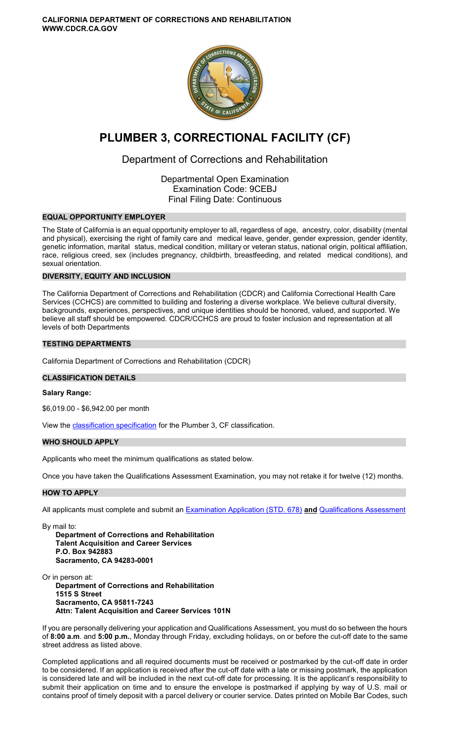**CALIFORNIA DEPARTMENT OF CORRECTIONS AND REHABILITATION WWW.CDCR.CA.GOV** 



# **PLUMBER 3, CORRECTIONAL FACILITY (CF)**

## Department of Corrections and Rehabilitation

Departmental Open Examination Examination Code: 9CEBJ Final Filing Date: Continuous

## **EQUAL OPPORTUNITY EMPLOYER**

The State of California is an equal opportunity employer to all, regardless of age, ancestry, color, disability (mental and physical), exercising the right of family care and medical leave, gender, gender expression, gender identity, genetic information, marital status, medical condition, military or veteran status, national origin, political affiliation, race, religious creed, sex (includes pregnancy, childbirth, breastfeeding, and related medical conditions), and sexual orientation.

## **DIVERSITY, EQUITY AND INCLUSION**

The California Department of Corrections and Rehabilitation (CDCR) and California Correctional Health Care Services (CCHCS) are committed to building and fostering a diverse workplace. We believe cultural diversity, backgrounds, experiences, perspectives, and unique identities should be honored, valued, and supported. We believe all staff should be empowered. CDCR/CCHCS are proud to foster inclusion and representation at all levels of both Departments

## **TESTING DEPARTMENTS**

California Department of Corrections and Rehabilitation (CDCR)

#### **CLASSIFICATION DETAILS**

#### **Salary Range:**

\$6,019.00 - \$6,942.00 per month

View the [classification specification](http://www.calhr.ca.gov/state-hr-professionals/Pages/6545.aspx) for the Plumber 3, CF classification.

## **WHO SHOULD APPLY**

Applicants who meet the minimum qualifications as stated below.

Once you have taken the Qualifications Assessment Examination, you may not retake it for twelve (12) months.

#### **HOW TO APPLY**

All applicants must complete and submit an [Examination Application \(STD. 678\)](https://jobs.ca.gov/pdf/STD678.pdf) **and** [Qualifications Assessment](https://www.cdcr.ca.gov/careers/plumber3cfqa-o-c/) 

By mail to:

**Department of Corrections and Rehabilitation Talent Acquisition and Career Services P.O. Box 942883 Sacramento, CA 94283-0001** 

Or in person at:

**Department of Corrections and Rehabilitation 1515 S Street Sacramento, CA 95811-7243 Attn: Talent Acquisition and Career Services 101N** 

If you are personally delivering your application and Qualifications Assessment, you must do so between the hours of **8:00 a.m**. and **5:00 p.m.**, Monday through Friday, excluding holidays, on or before the cut-off date to the same street address as listed above.

Completed applications and all required documents must be received or postmarked by the cut-off date in order to be considered. If an application is received after the cut-off date with a late or missing postmark, the application is considered late and will be included in the next cut-off date for processing. It is the applicant's responsibility to submit their application on time and to ensure the envelope is postmarked if applying by way of U.S. mail or contains proof of timely deposit with a parcel delivery or courier service. Dates printed on Mobile Bar Codes, such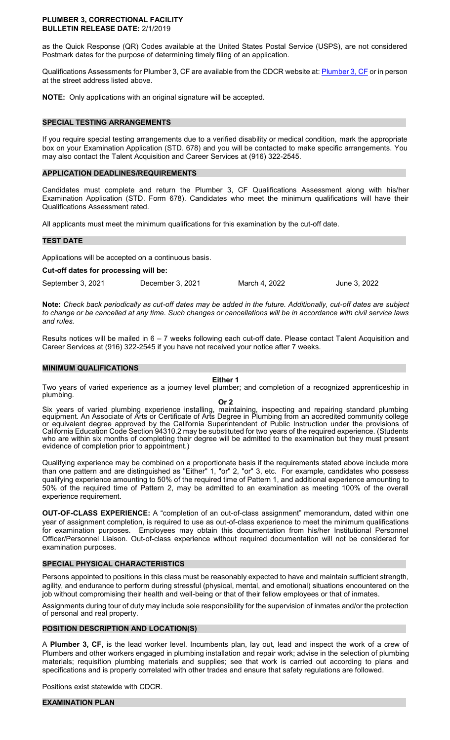#### **PLUMBER 3, CORRECTIONAL FACILITY BULLETIN RELEASE DATE:** 2/1/2019

as the Quick Response (QR) Codes available at the United States Postal Service (USPS), are not considered Postmark dates for the purpose of determining timely filing of an application.

Qualifications Assessments for Plumber 3, CF are available from the CDCR website at[: Plumber 3, CF o](https://www.cdcr.ca.gov/careers/plumber3cfqa-o-c/)r in person at the street address listed above.

**NOTE:** Only applications with an original signature will be accepted.

#### **SPECIAL TESTING ARRANGEMENTS**

If you require special testing arrangements due to a verified disability or medical condition, mark the appropriate box on your Examination Application (STD. 678) and you will be contacted to make specific arrangements. You may also contact the Talent Acquisition and Career Services at (916) 322-2545.

## **APPLICATION DEADLINES/REQUIREMENTS**

Candidates must complete and return the Plumber 3, CF Qualifications Assessment along with his/her Examination Application (STD. Form 678). Candidates who meet the minimum qualifications will have their Qualifications Assessment rated.

All applicants must meet the minimum qualifications for this examination by the cut-off date.

#### **TEST DATE**

Applications will be accepted on a continuous basis.

**Cut-off dates for processing will be:** 

September 3, 2021 December 3, 2021 March 4, 2022 June 3, 2022

**Note:** *Check back periodically as cut-off dates may be added in the future. Additionally, cut-off dates are subject to change or be cancelled at any time. Such changes or cancellations will be in accordance with civil service laws and rules.* 

Results notices will be mailed in 6 – 7 weeks following each cut-off date. Please contact Talent Acquisition and Career Services at (916) 322-2545 if you have not received your notice after 7 weeks.

#### **MINIMUM QUALIFICATIONS**

## **Either 1**

Two years of varied experience as a journey level plumber; and completion of a recognized apprenticeship in plumbing.

**Or 2** 

Six years of varied plumbing experience installing, maintaining, inspecting and repairing standard plumbing equipment. An Associate of Arts or Certificate of Arts Degree in Plumbing from an accredited community college or equivalent degree approved by the California Superintendent of Public Instruction under the provisions of California Education Code Section 94310.2 may be substituted for two years of the required experience. (Students who are within six months of completing their degree will be admitted to the examination but they must present evidence of completion prior to appointment.)

Qualifying experience may be combined on a proportionate basis if the requirements stated above include more than one pattern and are distinguished as "Either" 1, "or" 2, "or" 3, etc. For example, candidates who possess qualifying experience amounting to 50% of the required time of Pattern 1, and additional experience amounting to 50% of the required time of Pattern 2, may be admitted to an examination as meeting 100% of the overall experience requirement.

**OUT-OF-CLASS EXPERIENCE:** A "completion of an out-of-class assignment" memorandum, dated within one year of assignment completion, is required to use as out-of-class experience to meet the minimum qualifications for examination purposes. Employees may obtain this documentation from his/her Institutional Personnel Officer/Personnel Liaison. Out-of-class experience without required documentation will not be considered for examination purposes.

## **SPECIAL PHYSICAL CHARACTERISTICS**

Persons appointed to positions in this class must be reasonably expected to have and maintain sufficient strength, agility, and endurance to perform during stressful (physical, mental, and emotional) situations encountered on the job without compromising their health and well-being or that of their fellow employees or that of inmates.

Assignments during tour of duty may include sole responsibility for the supervision of inmates and/or the protection of personal and real property.

## **POSITION DESCRIPTION AND LOCATION(S)**

A **Plumber 3, CF**, is the lead worker level. Incumbents plan, lay out, lead and inspect the work of a crew of Plumbers and other workers engaged in plumbing installation and repair work; advise in the selection of plumbing materials; requisition plumbing materials and supplies; see that work is carried out according to plans and specifications and is properly correlated with other trades and ensure that safety regulations are followed.

Positions exist statewide with CDCR.

#### **EXAMINATION PLAN**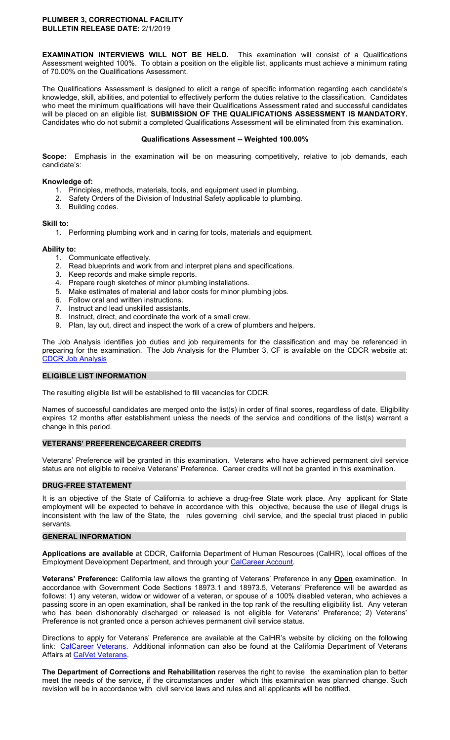#### **PLUMBER 3, CORRECTIONAL FACILITY BULLETIN RELEASE DATE:** 2/1/2019

**EXAMINATION INTERVIEWS WILL NOT BE HELD.** This examination will consist of a Qualifications Assessment weighted 100%. To obtain a position on the eligible list, applicants must achieve a minimum rating of 70.00% on the Qualifications Assessment.

The Qualifications Assessment is designed to elicit a range of specific information regarding each candidate's knowledge, skill, abilities, and potential to effectively perform the duties relative to the classification. Candidates who meet the minimum qualifications will have their Qualifications Assessment rated and successful candidates will be placed on an eligible list. **SUBMISSION OF THE QUALIFICATIONS ASSESSMENT IS MANDATORY.**  Candidates who do not submit a completed Qualifications Assessment will be eliminated from this examination.

#### **Qualifications Assessment -- Weighted 100.00%**

**Scope:** Emphasis in the examination will be on measuring competitively, relative to job demands, each candidate's:

## **Knowledge of:**

- 1. Principles, methods, materials, tools, and equipment used in plumbing.
- 2. Safety Orders of the Division of Industrial Safety applicable to plumbing.
- 3. Building codes.

## **Skill to:**

1. Performing plumbing work and in caring for tools, materials and equipment.

## **Ability to:**

- 
- 1. Communicate effectively.<br>2. Read blueprints and work Read blueprints and work from and interpret plans and specifications.
- 3. Keep records and make simple reports.
- 4. Prepare rough sketches of minor plumbing installations.
- 5. Make estimates of material and labor costs for minor plumbing jobs.
- 6. Follow oral and written instructions.
- 7. Instruct and lead unskilled assistants.
- 8. Instruct, direct, and coordinate the work of a small crew.
- 9. Plan, lay out, direct and inspect the work of a crew of plumbers and helpers.

The Job Analysis identifies job duties and job requirements for the classification and may be referenced in preparing for the examination. The Job Analysis for the Plumber 3, CF is available on the CDCR website at: [CDCR Job Analysis](https://www.cdcr.ca.gov/Career_Opportunities/HR/OPS/Exams/Analysis/index.html) 

## **ELIGIBLE LIST INFORMATION**

The resulting eligible list will be established to fill vacancies for CDCR.

Names of successful candidates are merged onto the list(s) in order of final scores, regardless of date. Eligibility expires 12 months after establishment unless the needs of the service and conditions of the list(s) warrant a change in this period.

## **VETERANS' PREFERENCE/CAREER CREDITS**

Veterans' Preference will be granted in this examination. Veterans who have achieved permanent civil service status are not eligible to receive Veterans' Preference. Career credits will not be granted in this examination.

#### **DRUG-FREE STATEMENT**

It is an objective of the State of California to achieve a drug-free State work place. Any applicant for State employment will be expected to behave in accordance with this objective, because the use of illegal drugs is inconsistent with the law of the State, the rules governing civil service, and the special trust placed in public servants.

## **GENERAL INFORMATION**

**Applications are available** at CDCR, California Department of Human Resources (CalHR), local offices of the Employment Development Department, and through your [CalCareer Account.](https://www.jobs.ca.gov/)

**Veterans' Preference:** California law allows the granting of Veterans' Preference in any **Open** examination. In accordance with Government Code Sections 18973.1 and 18973.5, Veterans' Preference will be awarded as follows: 1) any veteran, widow or widower of a veteran, or spouse of a 100% disabled veteran, who achieves a passing score in an open examination, shall be ranked in the top rank of the resulting eligibility list. Any veteran who has been dishonorably discharged or released is not eligible for Veterans' Preference; 2) Veterans' Preference is not granted once a person achieves permanent civil service status.

Directions to apply for Veterans' Preference are available at the CalHR's website by clicking on the following link: [CalCareer Veterans.](https://jobs.ca.gov/CalHRPublic/Landing/Veterans.aspx) Additional information can also be found at the California Department of Veterans Affairs at [CalVet Veterans.](http://www.calvet.ca.gov/veteran-services-benefits/employment)

**The Department of Corrections and Rehabilitation** reserves the right to revise the examination plan to better meet the needs of the service, if the circumstances under which this examination was planned change. Such revision will be in accordance with civil service laws and rules and all applicants will be notified.